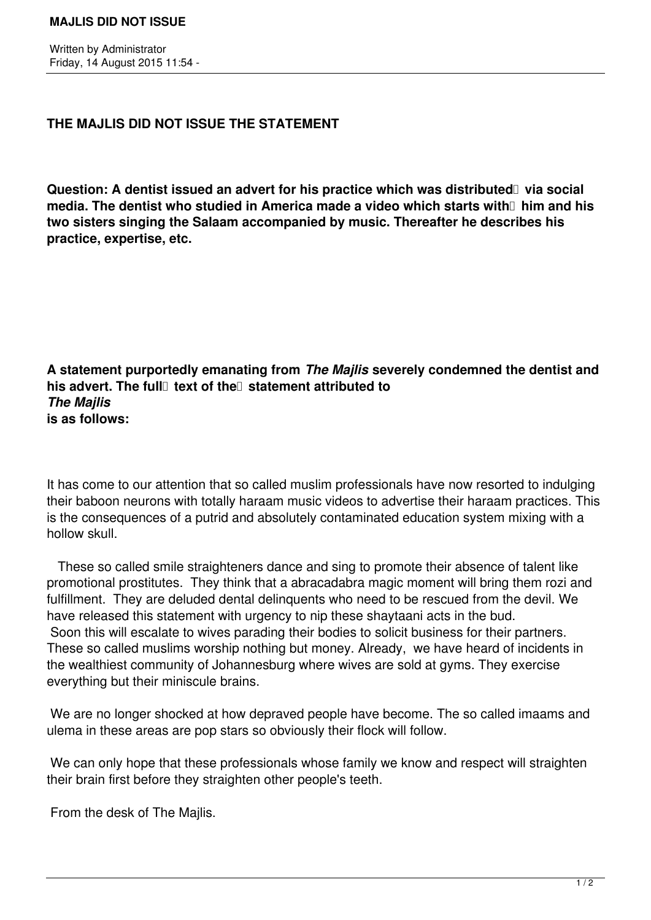## **THE MAJLIS DID NOT ISSUE THE STATEMENT**

Question: A dentist issued an advert for his practice which was distributed via social **media. The dentist who studied in America made a video which starts with him and his two sisters singing the Salaam accompanied by music. Thereafter he describes his practice, expertise, etc.**

**A statement purportedly emanating from** *The Majlis* **severely condemned the dentist and his advert. The full** text of the statement attributed to *The Majlis* **is as follows:**

It has come to our attention that so called muslim professionals have now resorted to indulging their baboon neurons with totally haraam music videos to advertise their haraam practices. This is the consequences of a putrid and absolutely contaminated education system mixing with a hollow skull.

 These so called smile straighteners dance and sing to promote their absence of talent like promotional prostitutes. They think that a abracadabra magic moment will bring them rozi and fulfillment. They are deluded dental delinquents who need to be rescued from the devil. We have released this statement with urgency to nip these shaytaani acts in the bud. Soon this will escalate to wives parading their bodies to solicit business for their partners. These so called muslims worship nothing but money. Already, we have heard of incidents in the wealthiest community of Johannesburg where wives are sold at gyms. They exercise everything but their miniscule brains.

 We are no longer shocked at how depraved people have become. The so called imaams and ulema in these areas are pop stars so obviously their flock will follow.

We can only hope that these professionals whose family we know and respect will straighten their brain first before they straighten other people's teeth.

From the desk of The Majlis.